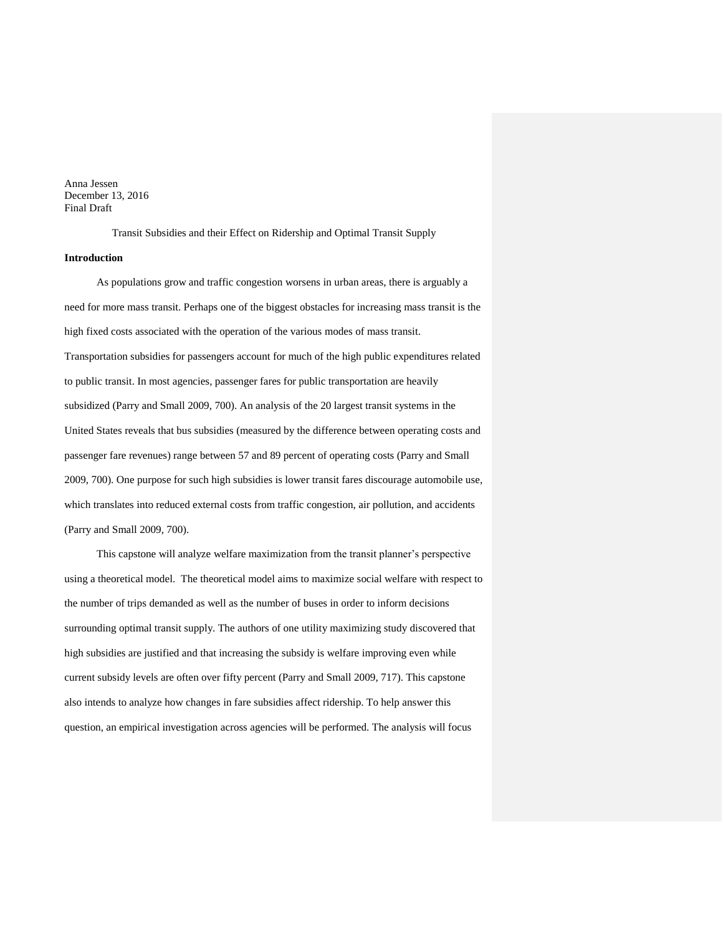Anna Jessen December 13, 2016 Final Draft

Transit Subsidies and their Effect on Ridership and Optimal Transit Supply

# **Introduction**

As populations grow and traffic congestion worsens in urban areas, there is arguably a need for more mass transit. Perhaps one of the biggest obstacles for increasing mass transit is the high fixed costs associated with the operation of the various modes of mass transit. Transportation subsidies for passengers account for much of the high public expenditures related to public transit. In most agencies, passenger fares for public transportation are heavily subsidized (Parry and Small 2009, 700). An analysis of the 20 largest transit systems in the United States reveals that bus subsidies (measured by the difference between operating costs and passenger fare revenues) range between 57 and 89 percent of operating costs (Parry and Small 2009, 700). One purpose for such high subsidies is lower transit fares discourage automobile use, which translates into reduced external costs from traffic congestion, air pollution, and accidents (Parry and Small 2009, 700).

This capstone will analyze welfare maximization from the transit planner's perspective using a theoretical model. The theoretical model aims to maximize social welfare with respect to the number of trips demanded as well as the number of buses in order to inform decisions surrounding optimal transit supply. The authors of one utility maximizing study discovered that high subsidies are justified and that increasing the subsidy is welfare improving even while current subsidy levels are often over fifty percent (Parry and Small 2009, 717). This capstone also intends to analyze how changes in fare subsidies affect ridership. To help answer this question, an empirical investigation across agencies will be performed. The analysis will focus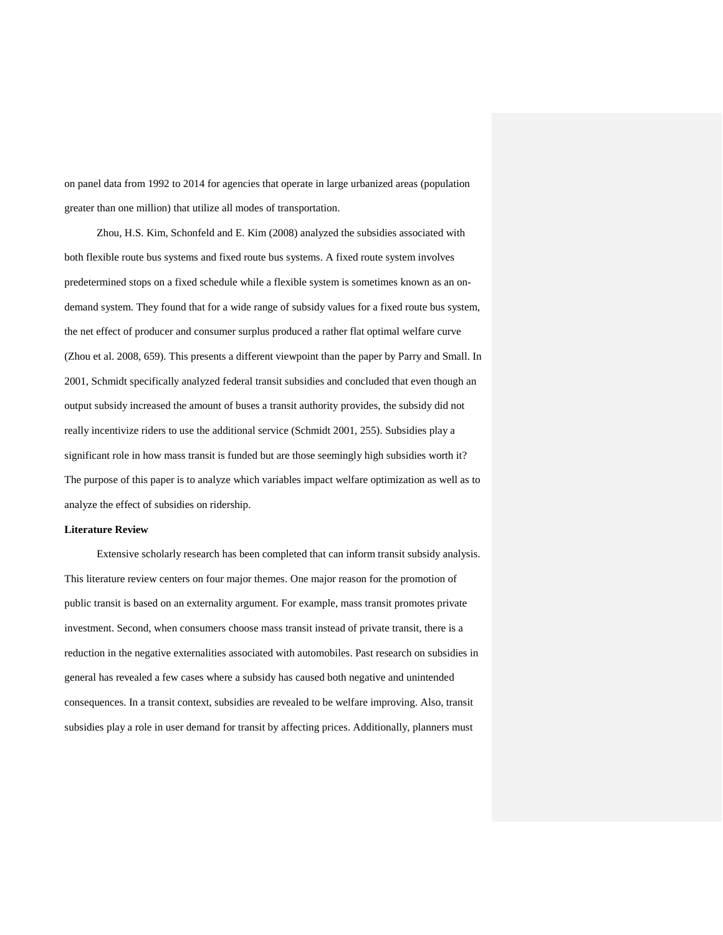on panel data from 1992 to 2014 for agencies that operate in large urbanized areas (population greater than one million) that utilize all modes of transportation.

Zhou, H.S. Kim, Schonfeld and E. Kim (2008) analyzed the subsidies associated with both flexible route bus systems and fixed route bus systems. A fixed route system involves predetermined stops on a fixed schedule while a flexible system is sometimes known as an ondemand system. They found that for a wide range of subsidy values for a fixed route bus system, the net effect of producer and consumer surplus produced a rather flat optimal welfare curve (Zhou et al. 2008, 659). This presents a different viewpoint than the paper by Parry and Small. In 2001, Schmidt specifically analyzed federal transit subsidies and concluded that even though an output subsidy increased the amount of buses a transit authority provides, the subsidy did not really incentivize riders to use the additional service (Schmidt 2001, 255). Subsidies play a significant role in how mass transit is funded but are those seemingly high subsidies worth it? The purpose of this paper is to analyze which variables impact welfare optimization as well as to analyze the effect of subsidies on ridership.

#### **Literature Review**

Extensive scholarly research has been completed that can inform transit subsidy analysis. This literature review centers on four major themes. One major reason for the promotion of public transit is based on an externality argument. For example, mass transit promotes private investment. Second, when consumers choose mass transit instead of private transit, there is a reduction in the negative externalities associated with automobiles. Past research on subsidies in general has revealed a few cases where a subsidy has caused both negative and unintended consequences. In a transit context, subsidies are revealed to be welfare improving. Also, transit subsidies play a role in user demand for transit by affecting prices. Additionally, planners must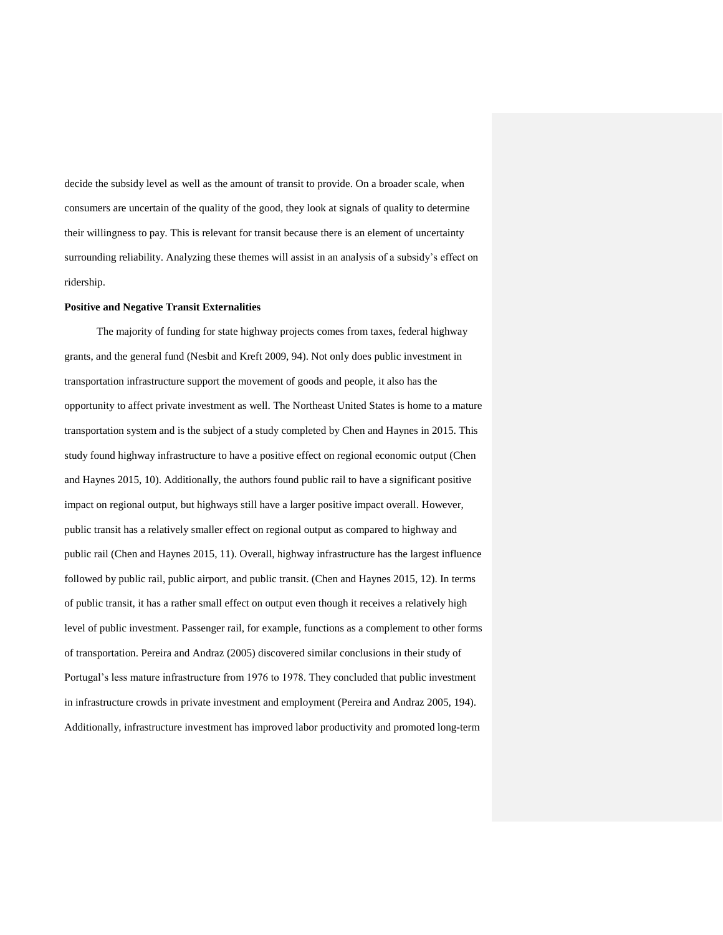decide the subsidy level as well as the amount of transit to provide. On a broader scale, when consumers are uncertain of the quality of the good, they look at signals of quality to determine their willingness to pay. This is relevant for transit because there is an element of uncertainty surrounding reliability. Analyzing these themes will assist in an analysis of a subsidy's effect on ridership.

#### **Positive and Negative Transit Externalities**

The majority of funding for state highway projects comes from taxes, federal highway grants, and the general fund (Nesbit and Kreft 2009, 94). Not only does public investment in transportation infrastructure support the movement of goods and people, it also has the opportunity to affect private investment as well. The Northeast United States is home to a mature transportation system and is the subject of a study completed by Chen and Haynes in 2015. This study found highway infrastructure to have a positive effect on regional economic output (Chen and Haynes 2015, 10). Additionally, the authors found public rail to have a significant positive impact on regional output, but highways still have a larger positive impact overall. However, public transit has a relatively smaller effect on regional output as compared to highway and public rail (Chen and Haynes 2015, 11). Overall, highway infrastructure has the largest influence followed by public rail, public airport, and public transit. (Chen and Haynes 2015, 12). In terms of public transit, it has a rather small effect on output even though it receives a relatively high level of public investment. Passenger rail, for example, functions as a complement to other forms of transportation. Pereira and Andraz (2005) discovered similar conclusions in their study of Portugal's less mature infrastructure from 1976 to 1978. They concluded that public investment in infrastructure crowds in private investment and employment (Pereira and Andraz 2005, 194). Additionally, infrastructure investment has improved labor productivity and promoted long-term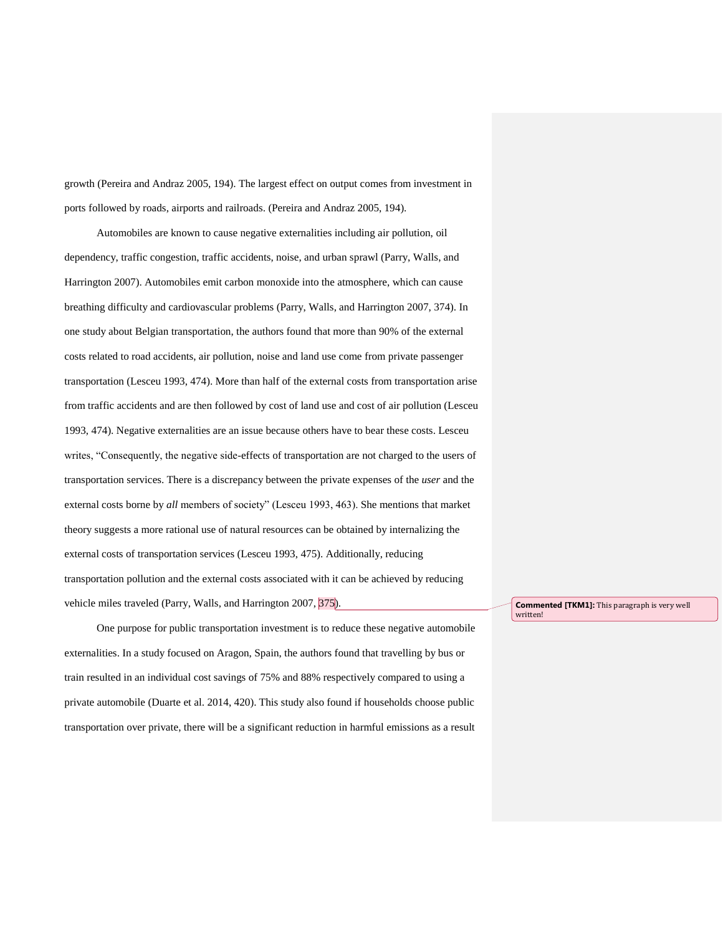growth (Pereira and Andraz 2005, 194). The largest effect on output comes from investment in ports followed by roads, airports and railroads. (Pereira and Andraz 2005, 194).

Automobiles are known to cause negative externalities including air pollution, oil dependency, traffic congestion, traffic accidents, noise, and urban sprawl (Parry, Walls, and Harrington 2007). Automobiles emit carbon monoxide into the atmosphere, which can cause breathing difficulty and cardiovascular problems (Parry, Walls, and Harrington 2007, 374). In one study about Belgian transportation, the authors found that more than 90% of the external costs related to road accidents, air pollution, noise and land use come from private passenger transportation (Lesceu 1993, 474). More than half of the external costs from transportation arise from traffic accidents and are then followed by cost of land use and cost of air pollution (Lesceu 1993, 474). Negative externalities are an issue because others have to bear these costs. Lesceu writes, "Consequently, the negative side-effects of transportation are not charged to the users of transportation services. There is a discrepancy between the private expenses of the *user* and the external costs borne by *all* members of society" (Lesceu 1993, 463). She mentions that market theory suggests a more rational use of natural resources can be obtained by internalizing the external costs of transportation services (Lesceu 1993, 475). Additionally, reducing transportation pollution and the external costs associated with it can be achieved by reducing vehicle miles traveled (Parry, Walls, and Harrington 2007, 375).

One purpose for public transportation investment is to reduce these negative automobile externalities. In a study focused on Aragon, Spain, the authors found that travelling by bus or train resulted in an individual cost savings of 75% and 88% respectively compared to using a private automobile (Duarte et al. 2014, 420). This study also found if households choose public transportation over private, there will be a significant reduction in harmful emissions as a result

**Commented [TKM1]:** This paragraph is very well written!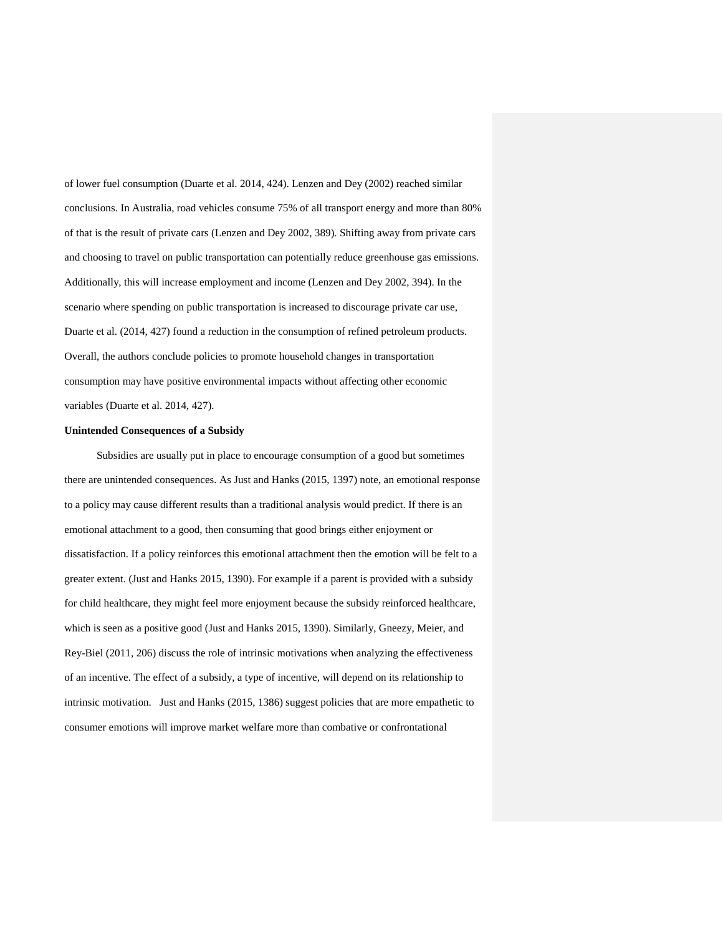of lower fuel consumption (Duarte et al. 2014, 424). Lenzen and Dey (2002) reached similar conclusions. In Australia, road vehicles consume 75% of all transport energy and more than 80% of that is the result of private cars (Lenzen and Dey 2002, 389). Shifting away from private cars and choosing to travel on public transportation can potentially reduce greenhouse gas emissions. Additionally, this will increase employment and income (Lenzen and Dey 2002, 394). In the scenario where spending on public transportation is increased to discourage private car use, Duarte et al. (2014, 427) found a reduction in the consumption of refined petroleum products. Overall, the authors conclude policies to promote household changes in transportation consumption may have positive environmental impacts without affecting other economic variables (Duarte et al. 2014, 427).

## **Unintended Consequences of a Subsidy**

Subsidies are usually put in place to encourage consumption of a good but sometimes there are unintended consequences. As Just and Hanks (2015, 1397) note, an emotional response to a policy may cause different results than a traditional analysis would predict. If there is an emotional attachment to a good, then consuming that good brings either enjoyment or dissatisfaction. If a policy reinforces this emotional attachment then the emotion will be felt to a greater extent. (Just and Hanks 2015, 1390). For example if a parent is provided with a subsidy for child healthcare, they might feel more enjoyment because the subsidy reinforced healthcare, which is seen as a positive good (Just and Hanks 2015, 1390). Similarly, Gneezy, Meier, and Rey-Biel (2011, 206) discuss the role of intrinsic motivations when analyzing the effectiveness of an incentive. The effect of a subsidy, a type of incentive, will depend on its relationship to intrinsic motivation. Just and Hanks (2015, 1386) suggest policies that are more empathetic to consumer emotions will improve market welfare more than combative or confrontational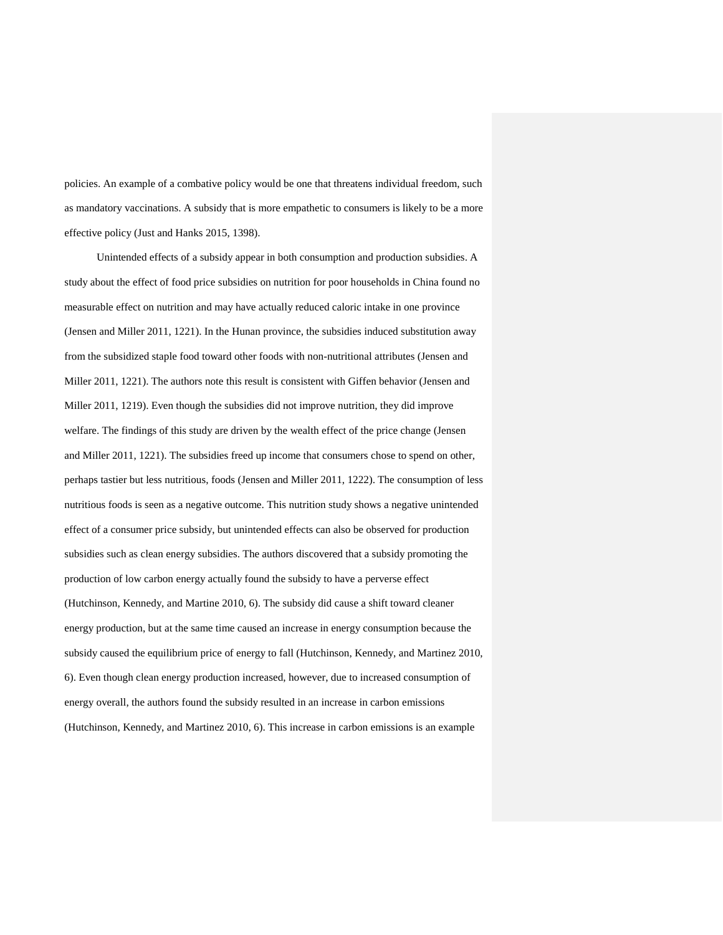policies. An example of a combative policy would be one that threatens individual freedom, such as mandatory vaccinations. A subsidy that is more empathetic to consumers is likely to be a more effective policy (Just and Hanks 2015, 1398).

Unintended effects of a subsidy appear in both consumption and production subsidies. A study about the effect of food price subsidies on nutrition for poor households in China found no measurable effect on nutrition and may have actually reduced caloric intake in one province (Jensen and Miller 2011, 1221). In the Hunan province, the subsidies induced substitution away from the subsidized staple food toward other foods with non-nutritional attributes (Jensen and Miller 2011, 1221). The authors note this result is consistent with Giffen behavior (Jensen and Miller 2011, 1219). Even though the subsidies did not improve nutrition, they did improve welfare. The findings of this study are driven by the wealth effect of the price change (Jensen and Miller 2011, 1221). The subsidies freed up income that consumers chose to spend on other, perhaps tastier but less nutritious, foods (Jensen and Miller 2011, 1222). The consumption of less nutritious foods is seen as a negative outcome. This nutrition study shows a negative unintended effect of a consumer price subsidy, but unintended effects can also be observed for production subsidies such as clean energy subsidies. The authors discovered that a subsidy promoting the production of low carbon energy actually found the subsidy to have a perverse effect (Hutchinson, Kennedy, and Martine 2010, 6). The subsidy did cause a shift toward cleaner energy production, but at the same time caused an increase in energy consumption because the subsidy caused the equilibrium price of energy to fall (Hutchinson, Kennedy, and Martinez 2010, 6). Even though clean energy production increased, however, due to increased consumption of energy overall, the authors found the subsidy resulted in an increase in carbon emissions (Hutchinson, Kennedy, and Martinez 2010, 6). This increase in carbon emissions is an example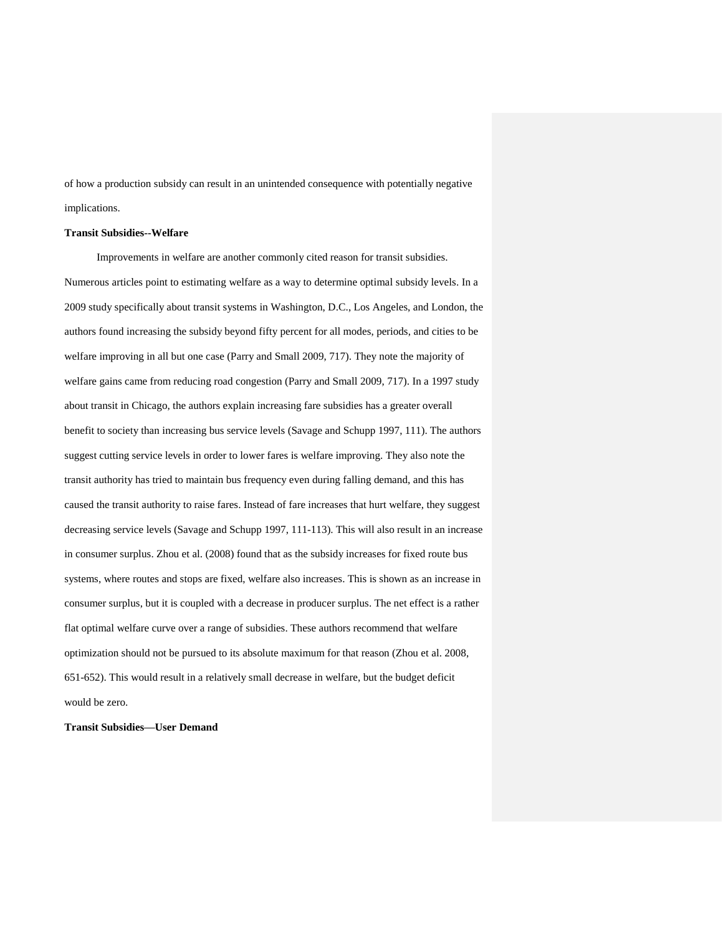of how a production subsidy can result in an unintended consequence with potentially negative implications.

## **Transit Subsidies--Welfare**

Improvements in welfare are another commonly cited reason for transit subsidies. Numerous articles point to estimating welfare as a way to determine optimal subsidy levels. In a 2009 study specifically about transit systems in Washington, D.C., Los Angeles, and London, the authors found increasing the subsidy beyond fifty percent for all modes, periods, and cities to be welfare improving in all but one case (Parry and Small 2009, 717). They note the majority of welfare gains came from reducing road congestion (Parry and Small 2009, 717). In a 1997 study about transit in Chicago, the authors explain increasing fare subsidies has a greater overall benefit to society than increasing bus service levels (Savage and Schupp 1997, 111). The authors suggest cutting service levels in order to lower fares is welfare improving. They also note the transit authority has tried to maintain bus frequency even during falling demand, and this has caused the transit authority to raise fares. Instead of fare increases that hurt welfare, they suggest decreasing service levels (Savage and Schupp 1997, 111-113). This will also result in an increase in consumer surplus. Zhou et al. (2008) found that as the subsidy increases for fixed route bus systems, where routes and stops are fixed, welfare also increases. This is shown as an increase in consumer surplus, but it is coupled with a decrease in producer surplus. The net effect is a rather flat optimal welfare curve over a range of subsidies. These authors recommend that welfare optimization should not be pursued to its absolute maximum for that reason (Zhou et al. 2008, 651-652). This would result in a relatively small decrease in welfare, but the budget deficit would be zero.

**Transit Subsidies—User Demand**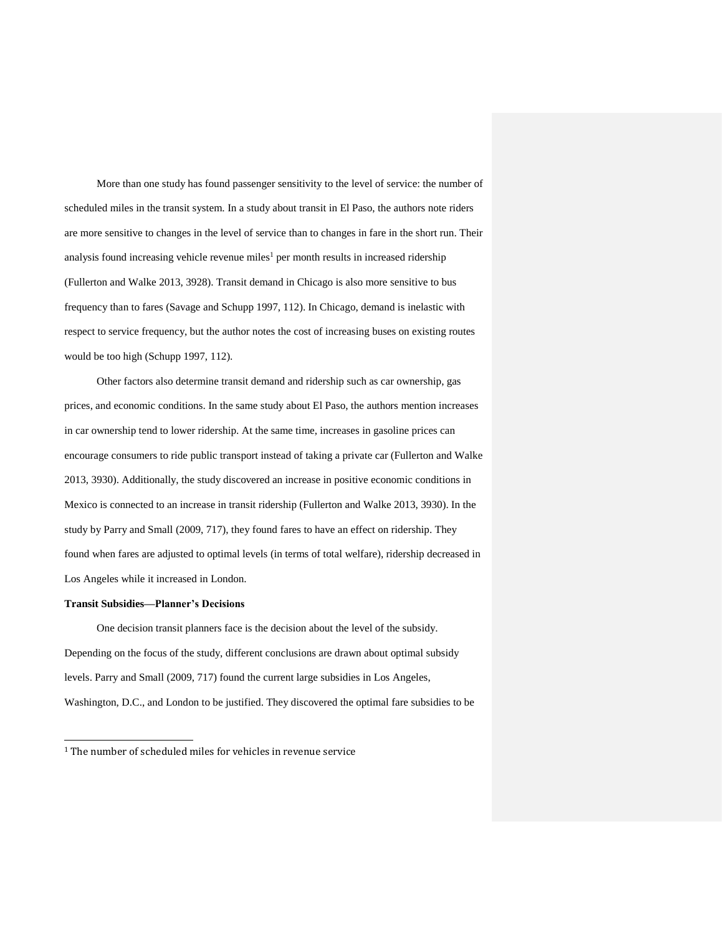More than one study has found passenger sensitivity to the level of service: the number of scheduled miles in the transit system. In a study about transit in El Paso, the authors note riders are more sensitive to changes in the level of service than to changes in fare in the short run. Their analysis found increasing vehicle revenue miles<sup>1</sup> per month results in increased ridership (Fullerton and Walke 2013, 3928). Transit demand in Chicago is also more sensitive to bus frequency than to fares (Savage and Schupp 1997, 112). In Chicago, demand is inelastic with respect to service frequency, but the author notes the cost of increasing buses on existing routes would be too high (Schupp 1997, 112).

Other factors also determine transit demand and ridership such as car ownership, gas prices, and economic conditions. In the same study about El Paso, the authors mention increases in car ownership tend to lower ridership. At the same time, increases in gasoline prices can encourage consumers to ride public transport instead of taking a private car (Fullerton and Walke 2013, 3930). Additionally, the study discovered an increase in positive economic conditions in Mexico is connected to an increase in transit ridership (Fullerton and Walke 2013, 3930). In the study by Parry and Small (2009, 717), they found fares to have an effect on ridership. They found when fares are adjusted to optimal levels (in terms of total welfare), ridership decreased in Los Angeles while it increased in London.

# **Transit Subsidies—Planner's Decisions**

j

One decision transit planners face is the decision about the level of the subsidy. Depending on the focus of the study, different conclusions are drawn about optimal subsidy levels. Parry and Small (2009, 717) found the current large subsidies in Los Angeles, Washington, D.C., and London to be justified. They discovered the optimal fare subsidies to be

<sup>&</sup>lt;sup>1</sup> The number of scheduled miles for vehicles in revenue service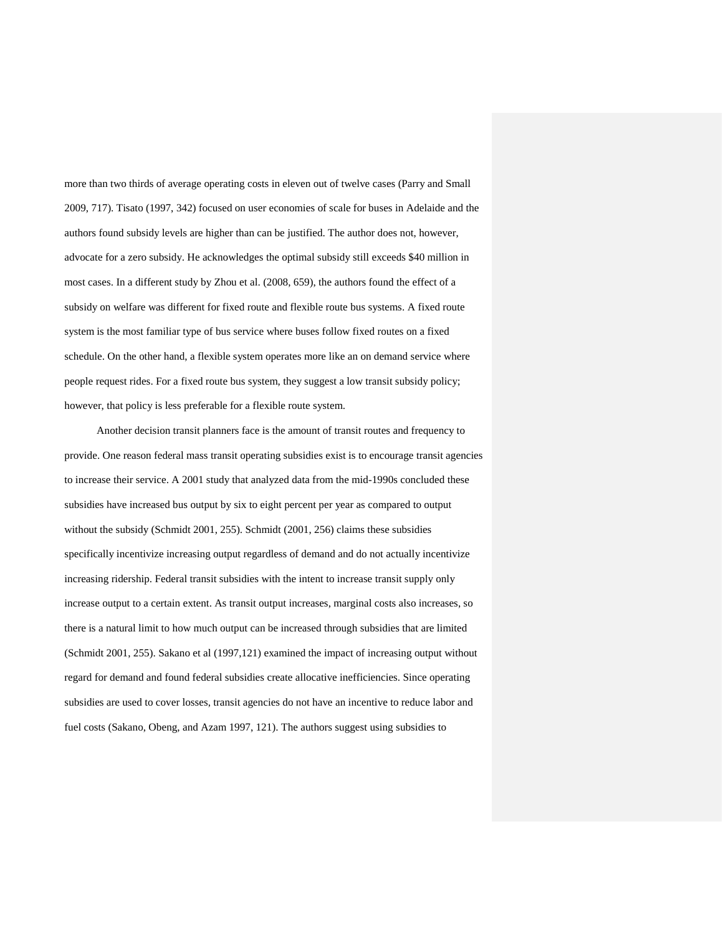more than two thirds of average operating costs in eleven out of twelve cases (Parry and Small 2009, 717). Tisato (1997, 342) focused on user economies of scale for buses in Adelaide and the authors found subsidy levels are higher than can be justified. The author does not, however, advocate for a zero subsidy. He acknowledges the optimal subsidy still exceeds \$40 million in most cases. In a different study by Zhou et al. (2008, 659), the authors found the effect of a subsidy on welfare was different for fixed route and flexible route bus systems. A fixed route system is the most familiar type of bus service where buses follow fixed routes on a fixed schedule. On the other hand, a flexible system operates more like an on demand service where people request rides. For a fixed route bus system, they suggest a low transit subsidy policy; however, that policy is less preferable for a flexible route system.

Another decision transit planners face is the amount of transit routes and frequency to provide. One reason federal mass transit operating subsidies exist is to encourage transit agencies to increase their service. A 2001 study that analyzed data from the mid-1990s concluded these subsidies have increased bus output by six to eight percent per year as compared to output without the subsidy (Schmidt 2001, 255). Schmidt (2001, 256) claims these subsidies specifically incentivize increasing output regardless of demand and do not actually incentivize increasing ridership. Federal transit subsidies with the intent to increase transit supply only increase output to a certain extent. As transit output increases, marginal costs also increases, so there is a natural limit to how much output can be increased through subsidies that are limited (Schmidt 2001, 255). Sakano et al (1997,121) examined the impact of increasing output without regard for demand and found federal subsidies create allocative inefficiencies. Since operating subsidies are used to cover losses, transit agencies do not have an incentive to reduce labor and fuel costs (Sakano, Obeng, and Azam 1997, 121). The authors suggest using subsidies to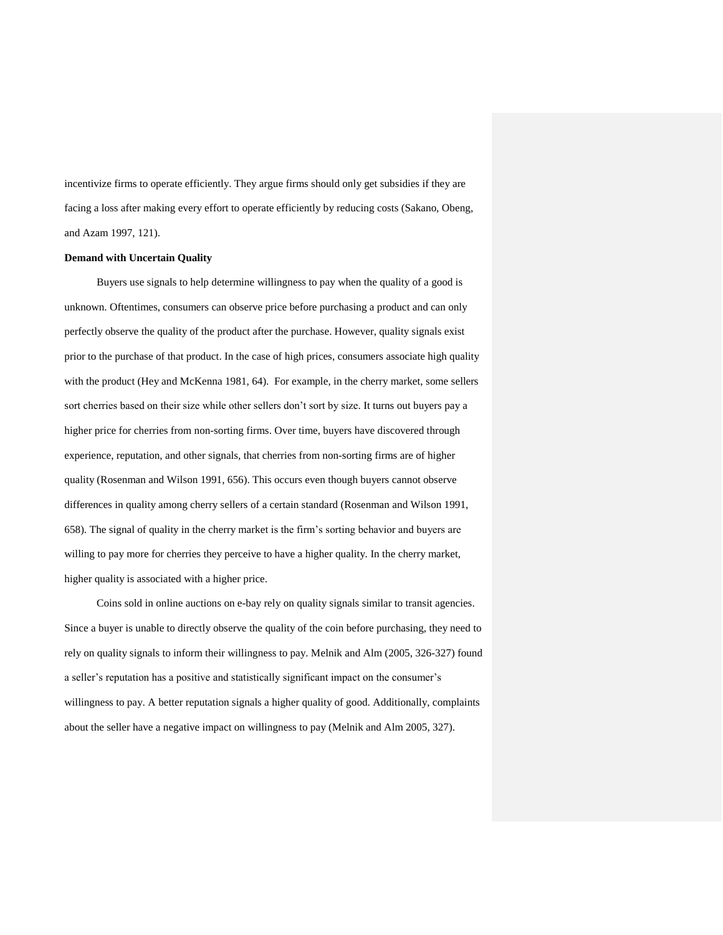incentivize firms to operate efficiently. They argue firms should only get subsidies if they are facing a loss after making every effort to operate efficiently by reducing costs (Sakano, Obeng, and Azam 1997, 121).

# **Demand with Uncertain Quality**

Buyers use signals to help determine willingness to pay when the quality of a good is unknown. Oftentimes, consumers can observe price before purchasing a product and can only perfectly observe the quality of the product after the purchase. However, quality signals exist prior to the purchase of that product. In the case of high prices, consumers associate high quality with the product (Hey and McKenna 1981, 64). For example, in the cherry market, some sellers sort cherries based on their size while other sellers don't sort by size. It turns out buyers pay a higher price for cherries from non-sorting firms. Over time, buyers have discovered through experience, reputation, and other signals, that cherries from non-sorting firms are of higher quality (Rosenman and Wilson 1991, 656). This occurs even though buyers cannot observe differences in quality among cherry sellers of a certain standard (Rosenman and Wilson 1991, 658). The signal of quality in the cherry market is the firm's sorting behavior and buyers are willing to pay more for cherries they perceive to have a higher quality. In the cherry market, higher quality is associated with a higher price.

Coins sold in online auctions on e-bay rely on quality signals similar to transit agencies. Since a buyer is unable to directly observe the quality of the coin before purchasing, they need to rely on quality signals to inform their willingness to pay. Melnik and Alm (2005, 326-327) found a seller's reputation has a positive and statistically significant impact on the consumer's willingness to pay. A better reputation signals a higher quality of good. Additionally, complaints about the seller have a negative impact on willingness to pay (Melnik and Alm 2005, 327).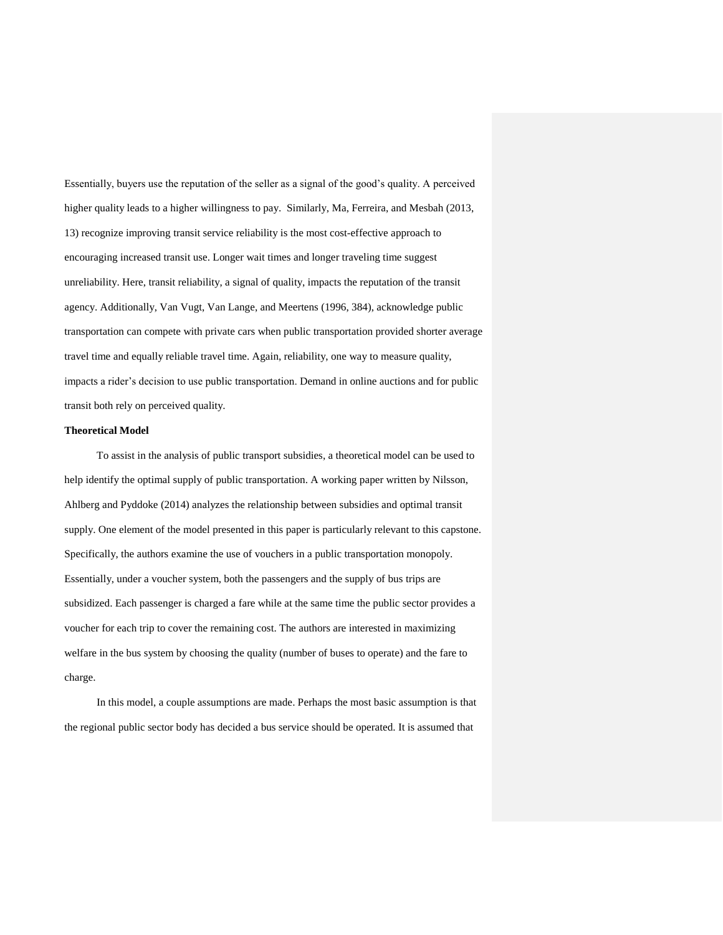Essentially, buyers use the reputation of the seller as a signal of the good's quality. A perceived higher quality leads to a higher willingness to pay. Similarly, Ma, Ferreira, and Mesbah (2013, 13) recognize improving transit service reliability is the most cost-effective approach to encouraging increased transit use. Longer wait times and longer traveling time suggest unreliability. Here, transit reliability, a signal of quality, impacts the reputation of the transit agency. Additionally, Van Vugt, Van Lange, and Meertens (1996, 384), acknowledge public transportation can compete with private cars when public transportation provided shorter average travel time and equally reliable travel time. Again, reliability, one way to measure quality, impacts a rider's decision to use public transportation. Demand in online auctions and for public transit both rely on perceived quality.

#### **Theoretical Model**

To assist in the analysis of public transport subsidies, a theoretical model can be used to help identify the optimal supply of public transportation. A working paper written by Nilsson, Ahlberg and Pyddoke (2014) analyzes the relationship between subsidies and optimal transit supply. One element of the model presented in this paper is particularly relevant to this capstone. Specifically, the authors examine the use of vouchers in a public transportation monopoly. Essentially, under a voucher system, both the passengers and the supply of bus trips are subsidized. Each passenger is charged a fare while at the same time the public sector provides a voucher for each trip to cover the remaining cost. The authors are interested in maximizing welfare in the bus system by choosing the quality (number of buses to operate) and the fare to charge.

In this model, a couple assumptions are made. Perhaps the most basic assumption is that the regional public sector body has decided a bus service should be operated. It is assumed that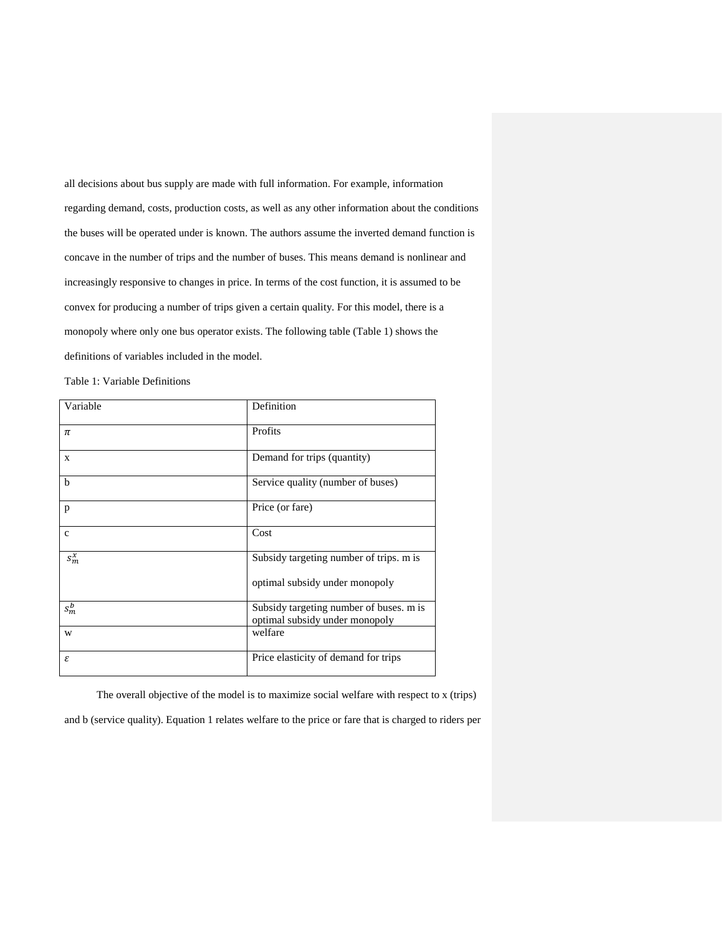all decisions about bus supply are made with full information. For example, information regarding demand, costs, production costs, as well as any other information about the conditions the buses will be operated under is known. The authors assume the inverted demand function is concave in the number of trips and the number of buses. This means demand is nonlinear and increasingly responsive to changes in price. In terms of the cost function, it is assumed to be convex for producing a number of trips given a certain quality. For this model, there is a monopoly where only one bus operator exists. The following table (Table 1) shows the definitions of variables included in the model.

Table 1: Variable Definitions

| Variable     | Definition                                                                |
|--------------|---------------------------------------------------------------------------|
| $\pi$        | Profits                                                                   |
| X            | Demand for trips (quantity)                                               |
| $\mathbf b$  | Service quality (number of buses)                                         |
| p            | Price (or fare)                                                           |
| $\mathbf{c}$ | Cost                                                                      |
| $s_m^x$      | Subsidy targeting number of trips. m is                                   |
|              | optimal subsidy under monopoly                                            |
| $s_m^b$      | Subsidy targeting number of buses. m is<br>optimal subsidy under monopoly |
| W            | welfare                                                                   |
| ε            | Price elasticity of demand for trips                                      |

The overall objective of the model is to maximize social welfare with respect to x (trips)

and b (service quality). Equation 1 relates welfare to the price or fare that is charged to riders per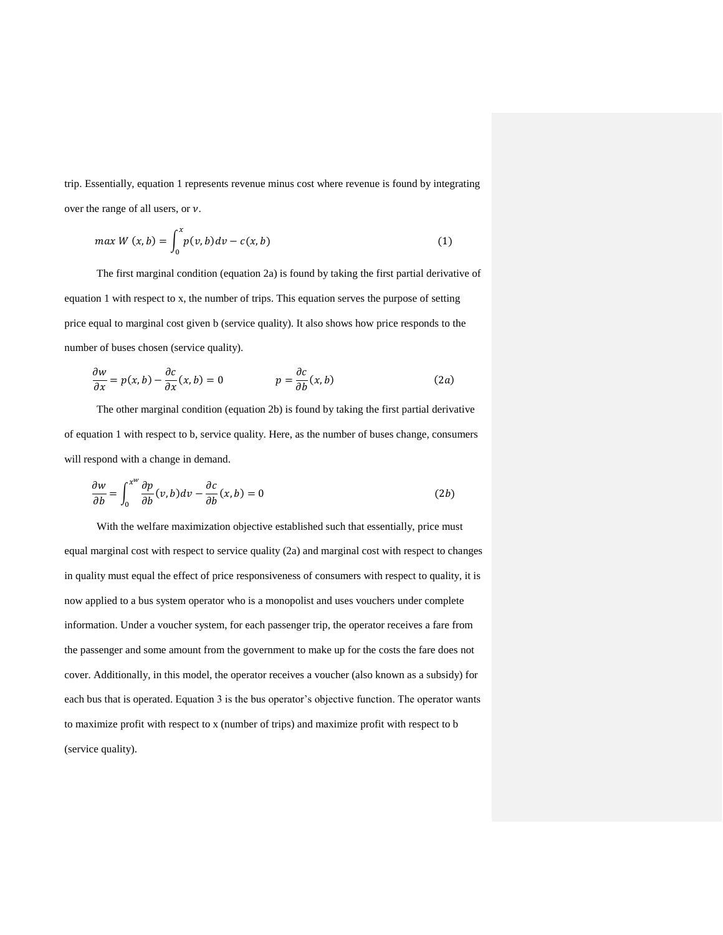trip. Essentially, equation 1 represents revenue minus cost where revenue is found by integrating over the range of all users, or  $\nu$ .

$$
\max W(x,b) = \int_0^x p(v,b)dv - c(x,b) \tag{1}
$$

The first marginal condition (equation 2a) is found by taking the first partial derivative of equation 1 with respect to x, the number of trips. This equation serves the purpose of setting price equal to marginal cost given b (service quality). It also shows how price responds to the number of buses chosen (service quality).

$$
\frac{\partial w}{\partial x} = p(x, b) - \frac{\partial c}{\partial x}(x, b) = 0 \qquad p = \frac{\partial c}{\partial b}(x, b) \tag{2a}
$$

The other marginal condition (equation 2b) is found by taking the first partial derivative of equation 1 with respect to b, service quality. Here, as the number of buses change, consumers will respond with a change in demand.

$$
\frac{\partial w}{\partial b} = \int_0^{x^w} \frac{\partial p}{\partial b}(v, b) dv - \frac{\partial c}{\partial b}(x, b) = 0
$$
 (2b)

With the welfare maximization objective established such that essentially, price must equal marginal cost with respect to service quality (2a) and marginal cost with respect to changes in quality must equal the effect of price responsiveness of consumers with respect to quality, it is now applied to a bus system operator who is a monopolist and uses vouchers under complete information. Under a voucher system, for each passenger trip, the operator receives a fare from the passenger and some amount from the government to make up for the costs the fare does not cover. Additionally, in this model, the operator receives a voucher (also known as a subsidy) for each bus that is operated. Equation 3 is the bus operator's objective function. The operator wants to maximize profit with respect to x (number of trips) and maximize profit with respect to b (service quality).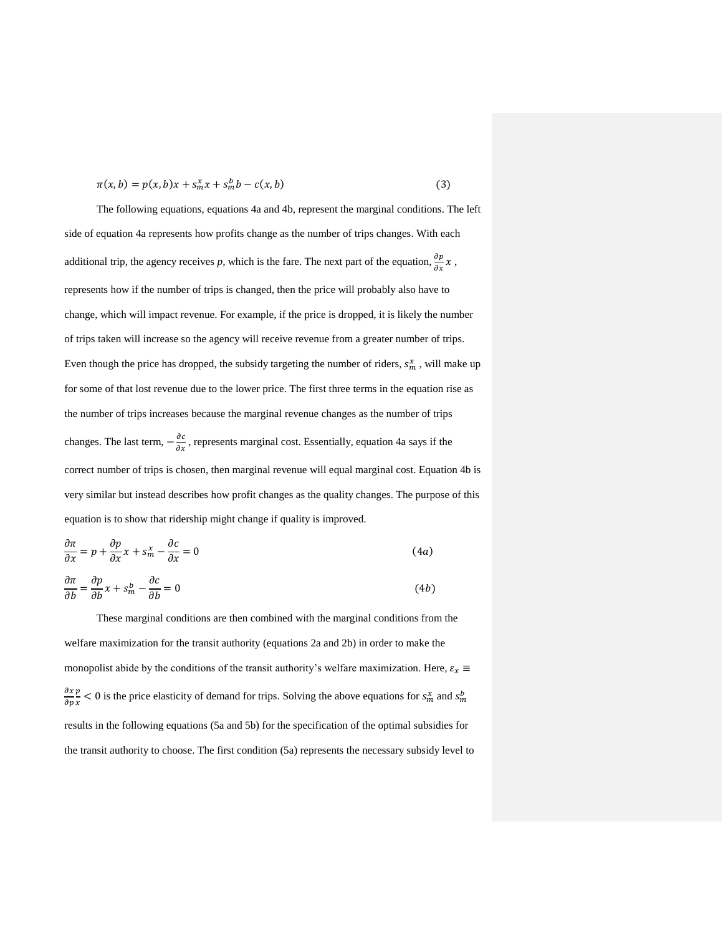$$
\pi(x, b) = p(x, b)x + s_m^x x + s_m^b b - c(x, b)
$$
\n(3)

The following equations, equations 4a and 4b, represent the marginal conditions. The left side of equation 4a represents how profits change as the number of trips changes. With each additional trip, the agency receives p, which is the fare. The next part of the equation,  $\frac{\partial p}{\partial x}x$ , represents how if the number of trips is changed, then the price will probably also have to change, which will impact revenue. For example, if the price is dropped, it is likely the number of trips taken will increase so the agency will receive revenue from a greater number of trips. Even though the price has dropped, the subsidy targeting the number of riders,  $s_m^x$ , will make up for some of that lost revenue due to the lower price. The first three terms in the equation rise as the number of trips increases because the marginal revenue changes as the number of trips changes. The last term,  $-\frac{\partial c}{\partial x}$ , represents marginal cost. Essentially, equation 4a says if the correct number of trips is chosen, then marginal revenue will equal marginal cost. Equation 4b is very similar but instead describes how profit changes as the quality changes. The purpose of this equation is to show that ridership might change if quality is improved.

$$
\frac{\partial \pi}{\partial x} = p + \frac{\partial p}{\partial x} x + s_m^x - \frac{\partial c}{\partial x} = 0
$$
\n(4*a*)

$$
\frac{\partial \pi}{\partial b} = \frac{\partial p}{\partial b} x + s_m^b - \frac{\partial c}{\partial b} = 0
$$
\n(4b)

These marginal conditions are then combined with the marginal conditions from the welfare maximization for the transit authority (equations 2a and 2b) in order to make the monopolist abide by the conditions of the transit authority's welfare maximization. Here,  $\varepsilon_x \equiv$  $\partial x$  $\partial p$  $\boldsymbol{p}$  $\frac{p}{x}$  < 0 is the price elasticity of demand for trips. Solving the above equations for  $s_m^x$  and  $s_m^b$ results in the following equations (5a and 5b) for the specification of the optimal subsidies for the transit authority to choose. The first condition (5a) represents the necessary subsidy level to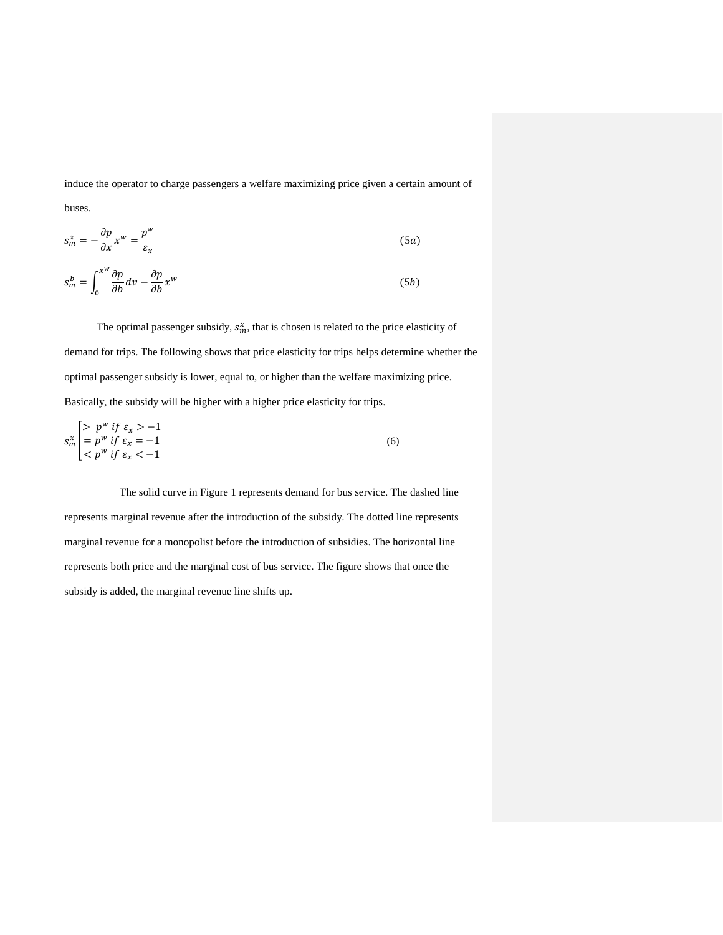induce the operator to charge passengers a welfare maximizing price given a certain amount of

buses.

$$
s_m^x = -\frac{\partial p}{\partial x} x^w = \frac{p^w}{\varepsilon_x} \tag{5a}
$$

$$
s_m^b = \int_0^{x^w} \frac{\partial p}{\partial b} dv - \frac{\partial p}{\partial b} x^w \tag{5b}
$$

The optimal passenger subsidy,  $s_m^x$ , that is chosen is related to the price elasticity of demand for trips. The following shows that price elasticity for trips helps determine whether the optimal passenger subsidy is lower, equal to, or higher than the welfare maximizing price. Basically, the subsidy will be higher with a higher price elasticity for trips.

$$
s_m^x \begin{cases} > p^w \text{ if } \varepsilon_x > -1 \\ = p^w \text{ if } \varepsilon_x = -1 \\ < p^w \text{ if } \varepsilon_x < -1 \end{cases} \tag{6}
$$

The solid curve in Figure 1 represents demand for bus service. The dashed line represents marginal revenue after the introduction of the subsidy. The dotted line represents marginal revenue for a monopolist before the introduction of subsidies. The horizontal line represents both price and the marginal cost of bus service. The figure shows that once the subsidy is added, the marginal revenue line shifts up.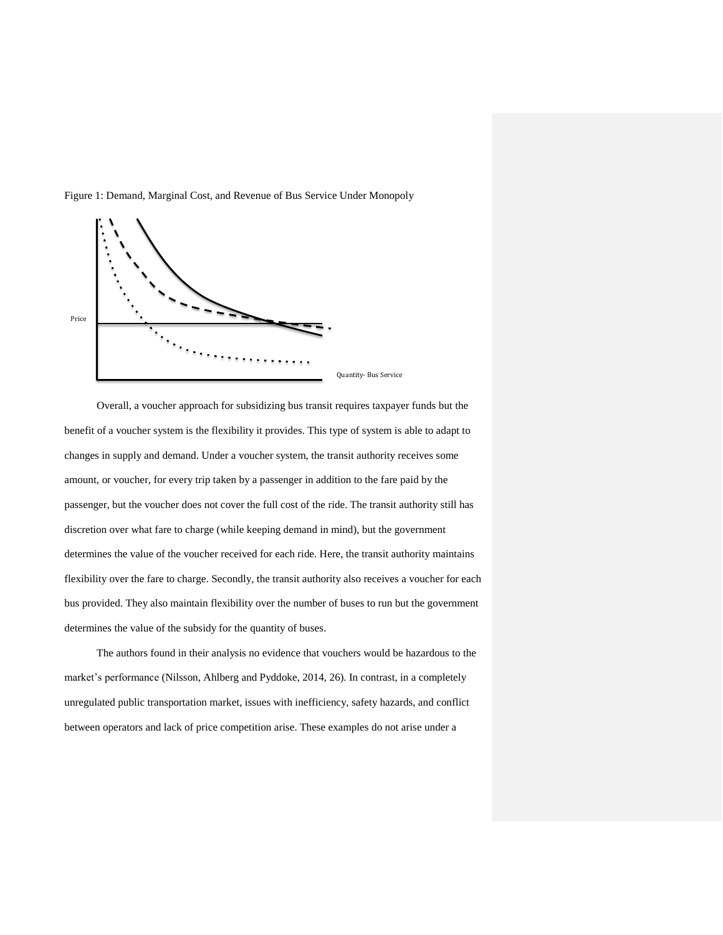

Figure 1: Demand, Marginal Cost, and Revenue of Bus Service Under Monopoly

Overall, a voucher approach for subsidizing bus transit requires taxpayer funds but the benefit of a voucher system is the flexibility it provides. This type of system is able to adapt to changes in supply and demand. Under a voucher system, the transit authority receives some amount, or voucher, for every trip taken by a passenger in addition to the fare paid by the passenger, but the voucher does not cover the full cost of the ride. The transit authority still has discretion over what fare to charge (while keeping demand in mind), but the government determines the value of the voucher received for each ride. Here, the transit authority maintains flexibility over the fare to charge. Secondly, the transit authority also receives a voucher for each bus provided. They also maintain flexibility over the number of buses to run but the government determines the value of the subsidy for the quantity of buses.

The authors found in their analysis no evidence that vouchers would be hazardous to the market's performance (Nilsson, Ahlberg and Pyddoke, 2014, 26). In contrast, in a completely unregulated public transportation market, issues with inefficiency, safety hazards, and conflict between operators and lack of price competition arise. These examples do not arise under a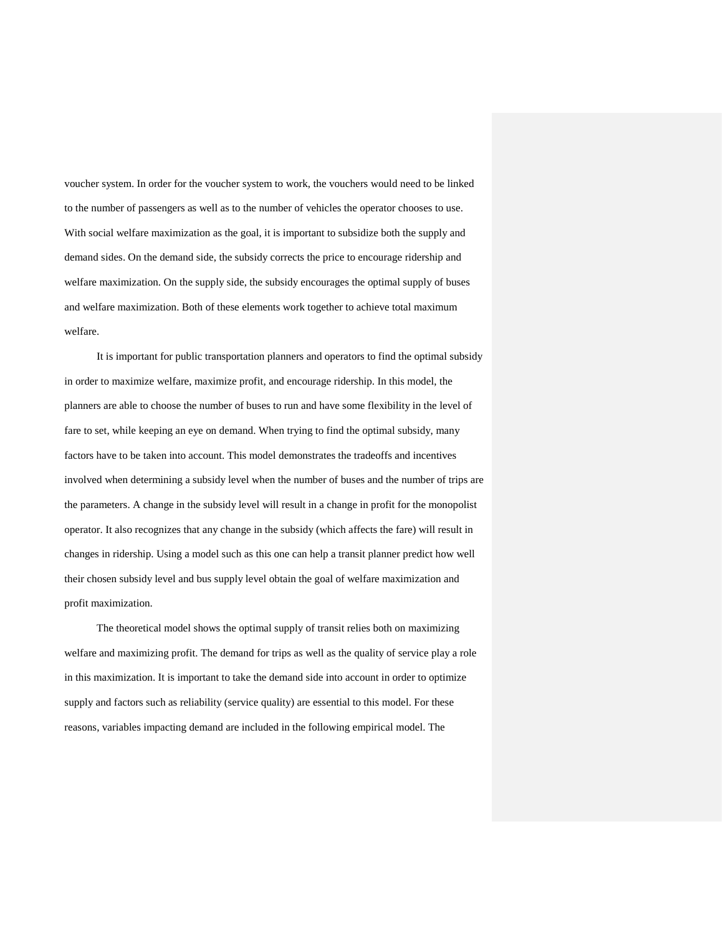voucher system. In order for the voucher system to work, the vouchers would need to be linked to the number of passengers as well as to the number of vehicles the operator chooses to use. With social welfare maximization as the goal, it is important to subsidize both the supply and demand sides. On the demand side, the subsidy corrects the price to encourage ridership and welfare maximization. On the supply side, the subsidy encourages the optimal supply of buses and welfare maximization. Both of these elements work together to achieve total maximum welfare.

It is important for public transportation planners and operators to find the optimal subsidy in order to maximize welfare, maximize profit, and encourage ridership. In this model, the planners are able to choose the number of buses to run and have some flexibility in the level of fare to set, while keeping an eye on demand. When trying to find the optimal subsidy, many factors have to be taken into account. This model demonstrates the tradeoffs and incentives involved when determining a subsidy level when the number of buses and the number of trips are the parameters. A change in the subsidy level will result in a change in profit for the monopolist operator. It also recognizes that any change in the subsidy (which affects the fare) will result in changes in ridership. Using a model such as this one can help a transit planner predict how well their chosen subsidy level and bus supply level obtain the goal of welfare maximization and profit maximization.

The theoretical model shows the optimal supply of transit relies both on maximizing welfare and maximizing profit. The demand for trips as well as the quality of service play a role in this maximization. It is important to take the demand side into account in order to optimize supply and factors such as reliability (service quality) are essential to this model. For these reasons, variables impacting demand are included in the following empirical model. The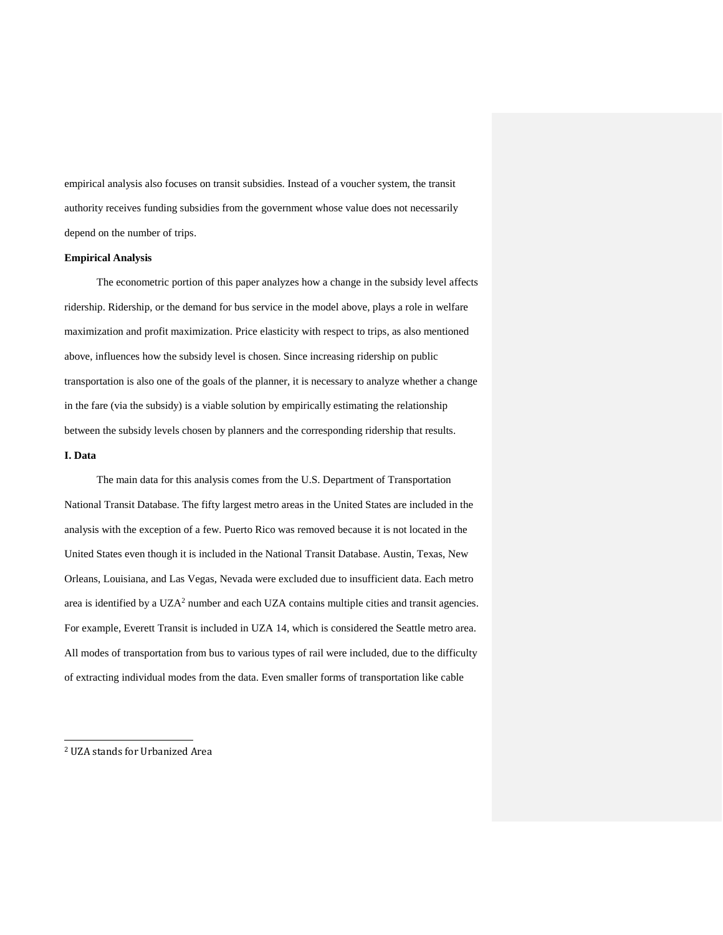empirical analysis also focuses on transit subsidies. Instead of a voucher system, the transit authority receives funding subsidies from the government whose value does not necessarily depend on the number of trips.

#### **Empirical Analysis**

The econometric portion of this paper analyzes how a change in the subsidy level affects ridership. Ridership, or the demand for bus service in the model above, plays a role in welfare maximization and profit maximization. Price elasticity with respect to trips, as also mentioned above, influences how the subsidy level is chosen. Since increasing ridership on public transportation is also one of the goals of the planner, it is necessary to analyze whether a change in the fare (via the subsidy) is a viable solution by empirically estimating the relationship between the subsidy levels chosen by planners and the corresponding ridership that results.

# **I. Data**

j

The main data for this analysis comes from the U.S. Department of Transportation National Transit Database. The fifty largest metro areas in the United States are included in the analysis with the exception of a few. Puerto Rico was removed because it is not located in the United States even though it is included in the National Transit Database. Austin, Texas, New Orleans, Louisiana, and Las Vegas, Nevada were excluded due to insufficient data. Each metro area is identified by a UZA<sup>2</sup> number and each UZA contains multiple cities and transit agencies. For example, Everett Transit is included in UZA 14, which is considered the Seattle metro area. All modes of transportation from bus to various types of rail were included, due to the difficulty of extracting individual modes from the data. Even smaller forms of transportation like cable

<sup>2</sup> UZA stands for Urbanized Area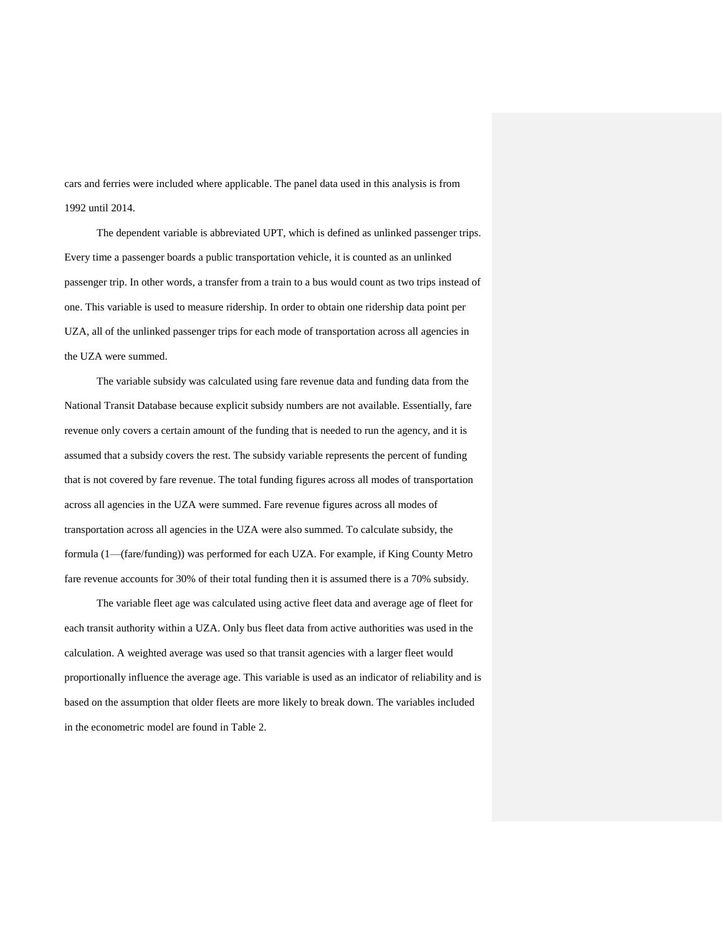cars and ferries were included where applicable. The panel data used in this analysis is from 1992 until 2014.

The dependent variable is abbreviated UPT, which is defined as unlinked passenger trips. Every time a passenger boards a public transportation vehicle, it is counted as an unlinked passenger trip. In other words, a transfer from a train to a bus would count as two trips instead of one. This variable is used to measure ridership. In order to obtain one ridership data point per UZA, all of the unlinked passenger trips for each mode of transportation across all agencies in the UZA were summed.

The variable subsidy was calculated using fare revenue data and funding data from the National Transit Database because explicit subsidy numbers are not available. Essentially, fare revenue only covers a certain amount of the funding that is needed to run the agency, and it is assumed that a subsidy covers the rest. The subsidy variable represents the percent of funding that is not covered by fare revenue. The total funding figures across all modes of transportation across all agencies in the UZA were summed. Fare revenue figures across all modes of transportation across all agencies in the UZA were also summed. To calculate subsidy, the formula (1—(fare/funding)) was performed for each UZA. For example, if King County Metro fare revenue accounts for 30% of their total funding then it is assumed there is a 70% subsidy.

The variable fleet age was calculated using active fleet data and average age of fleet for each transit authority within a UZA. Only bus fleet data from active authorities was used in the calculation. A weighted average was used so that transit agencies with a larger fleet would proportionally influence the average age. This variable is used as an indicator of reliability and is based on the assumption that older fleets are more likely to break down. The variables included in the econometric model are found in Table 2.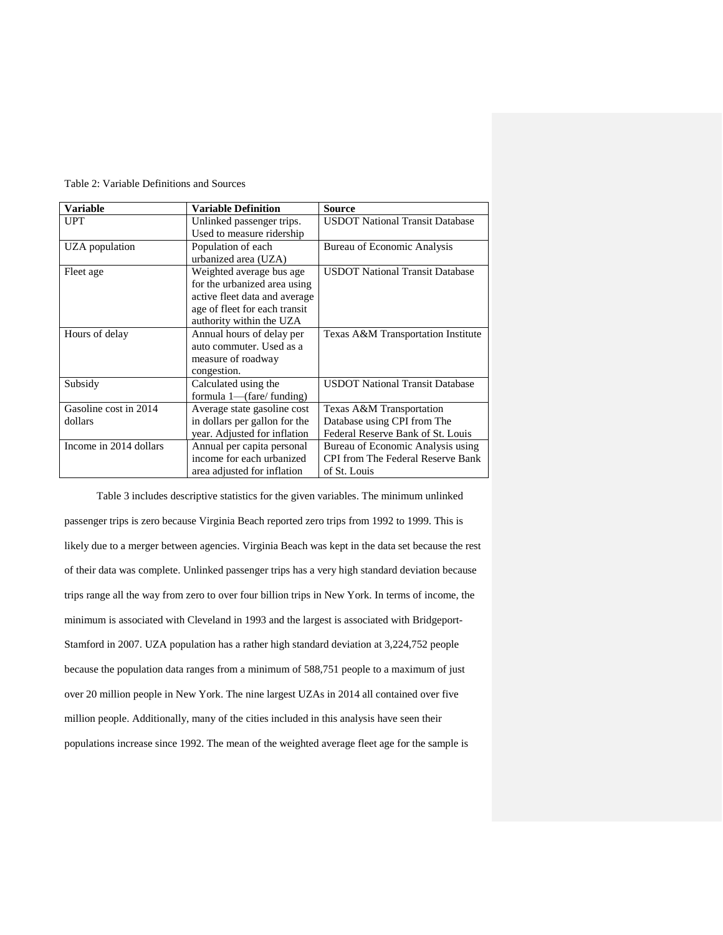| <b>Variable</b>        | <b>Variable Definition</b>    | <b>Source</b>                            |
|------------------------|-------------------------------|------------------------------------------|
| <b>UPT</b>             | Unlinked passenger trips.     | <b>USDOT National Transit Database</b>   |
|                        | Used to measure ridership     |                                          |
| UZA population         | Population of each            | Bureau of Economic Analysis              |
|                        | urbanized area (UZA)          |                                          |
| Fleet age              | Weighted average bus age.     | <b>USDOT National Transit Database</b>   |
|                        | for the urbanized area using  |                                          |
|                        | active fleet data and average |                                          |
|                        | age of fleet for each transit |                                          |
|                        | authority within the UZA      |                                          |
| Hours of delay         | Annual hours of delay per     | Texas A&M Transportation Institute       |
|                        | auto commuter. Used as a      |                                          |
|                        | measure of roadway            |                                          |
|                        | congestion.                   |                                          |
| Subsidy                | Calculated using the          | <b>USDOT National Transit Database</b>   |
|                        | formula 1—(fare/funding)      |                                          |
| Gasoline cost in 2014  | Average state gasoline cost   | Texas A&M Transportation                 |
| dollars                | in dollars per gallon for the | Database using CPI from The              |
|                        | year. Adjusted for inflation  | Federal Reserve Bank of St. Louis        |
| Income in 2014 dollars | Annual per capita personal    | Bureau of Economic Analysis using        |
|                        | income for each urbanized     | <b>CPI</b> from The Federal Reserve Bank |
|                        | area adjusted for inflation   | of St. Louis                             |

Table 2: Variable Definitions and Sources

Table 3 includes descriptive statistics for the given variables. The minimum unlinked passenger trips is zero because Virginia Beach reported zero trips from 1992 to 1999. This is likely due to a merger between agencies. Virginia Beach was kept in the data set because the rest of their data was complete. Unlinked passenger trips has a very high standard deviation because trips range all the way from zero to over four billion trips in New York. In terms of income, the minimum is associated with Cleveland in 1993 and the largest is associated with Bridgeport-Stamford in 2007. UZA population has a rather high standard deviation at 3,224,752 people because the population data ranges from a minimum of 588,751 people to a maximum of just over 20 million people in New York. The nine largest UZAs in 2014 all contained over five million people. Additionally, many of the cities included in this analysis have seen their populations increase since 1992. The mean of the weighted average fleet age for the sample is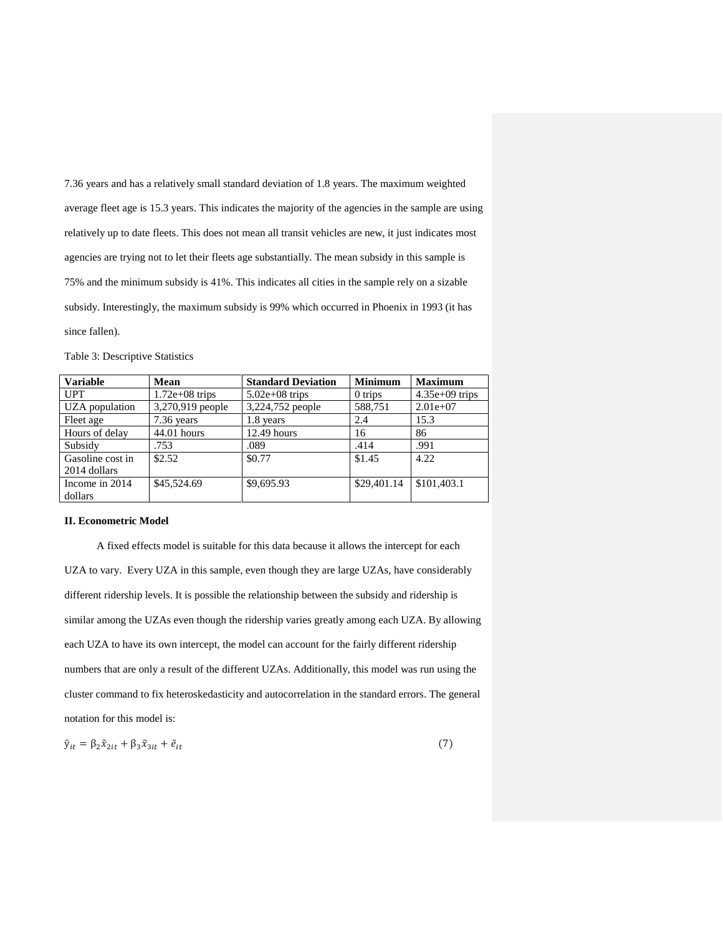7.36 years and has a relatively small standard deviation of 1.8 years. The maximum weighted average fleet age is 15.3 years. This indicates the majority of the agencies in the sample are using relatively up to date fleets. This does not mean all transit vehicles are new, it just indicates most agencies are trying not to let their fleets age substantially. The mean subsidy in this sample is 75% and the minimum subsidy is 41%. This indicates all cities in the sample rely on a sizable subsidy. Interestingly, the maximum subsidy is 99% which occurred in Phoenix in 1993 (it has since fallen).

| <b>Variable</b>  | <b>Mean</b>       | <b>Standard Deviation</b> | <b>Minimum</b> | <b>Maximum</b>   |
|------------------|-------------------|---------------------------|----------------|------------------|
| <b>UPT</b>       | $1.72e+0.8$ trips | $5.02e+08$ trips          | $0$ trips      | $4.35e+09$ trips |
| UZA population   | 3,270,919 people  | 3,224,752 people          | 588,751        | $2.01e+07$       |
| Fleet age        | 7.36 years        | 1.8 years                 | 2.4            | 15.3             |
| Hours of delay   | $44.01$ hours     | $12.49$ hours             | 16             | 86               |
| Subsidy          | .753              | .089                      | .414           | .991             |
| Gasoline cost in | \$2.52            | \$0.77                    | \$1.45         | 4.22             |
| 2014 dollars     |                   |                           |                |                  |
| Income in 2014   | \$45,524.69       | \$9,695.93                | \$29,401.14    | \$101,403.1      |
| dollars          |                   |                           |                |                  |

#### **II. Econometric Model**

A fixed effects model is suitable for this data because it allows the intercept for each UZA to vary. Every UZA in this sample, even though they are large UZAs, have considerably different ridership levels. It is possible the relationship between the subsidy and ridership is similar among the UZAs even though the ridership varies greatly among each UZA. By allowing each UZA to have its own intercept, the model can account for the fairly different ridership numbers that are only a result of the different UZAs. Additionally, this model was run using the cluster command to fix heteroskedasticity and autocorrelation in the standard errors. The general notation for this model is:

$$
\tilde{\mathbf{y}}_{it} = \beta_2 \tilde{\mathbf{x}}_{2it} + \beta_3 \tilde{\mathbf{x}}_{3it} + \tilde{\mathbf{e}}_{it} \tag{7}
$$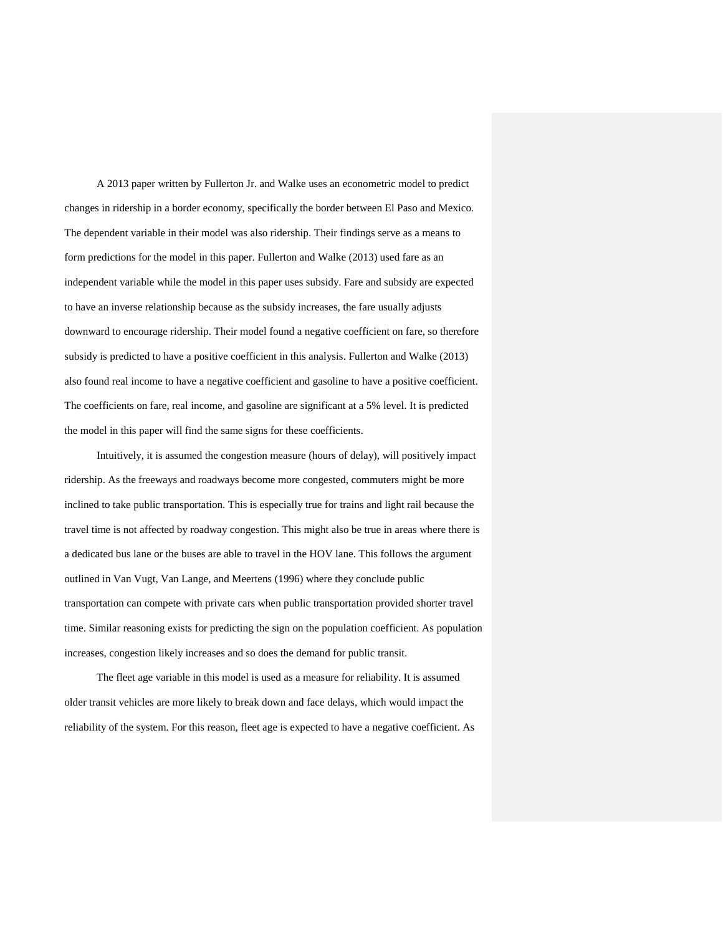A 2013 paper written by Fullerton Jr. and Walke uses an econometric model to predict changes in ridership in a border economy, specifically the border between El Paso and Mexico. The dependent variable in their model was also ridership. Their findings serve as a means to form predictions for the model in this paper. Fullerton and Walke (2013) used fare as an independent variable while the model in this paper uses subsidy. Fare and subsidy are expected to have an inverse relationship because as the subsidy increases, the fare usually adjusts downward to encourage ridership. Their model found a negative coefficient on fare, so therefore subsidy is predicted to have a positive coefficient in this analysis. Fullerton and Walke (2013) also found real income to have a negative coefficient and gasoline to have a positive coefficient. The coefficients on fare, real income, and gasoline are significant at a 5% level. It is predicted the model in this paper will find the same signs for these coefficients.

Intuitively, it is assumed the congestion measure (hours of delay), will positively impact ridership. As the freeways and roadways become more congested, commuters might be more inclined to take public transportation. This is especially true for trains and light rail because the travel time is not affected by roadway congestion. This might also be true in areas where there is a dedicated bus lane or the buses are able to travel in the HOV lane. This follows the argument outlined in Van Vugt, Van Lange, and Meertens (1996) where they conclude public transportation can compete with private cars when public transportation provided shorter travel time. Similar reasoning exists for predicting the sign on the population coefficient. As population increases, congestion likely increases and so does the demand for public transit.

The fleet age variable in this model is used as a measure for reliability. It is assumed older transit vehicles are more likely to break down and face delays, which would impact the reliability of the system. For this reason, fleet age is expected to have a negative coefficient. As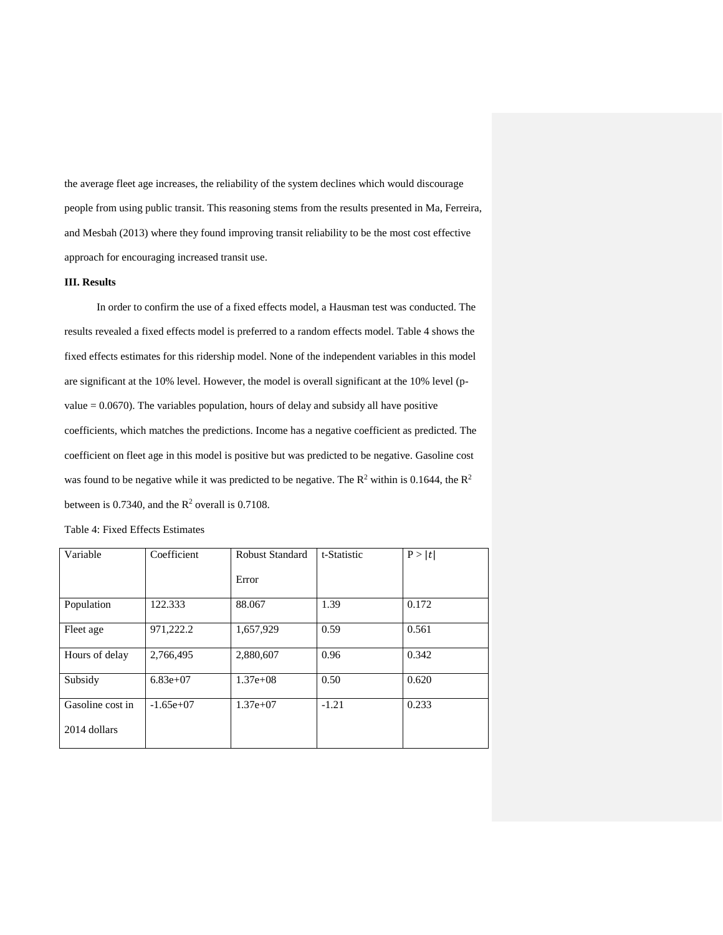the average fleet age increases, the reliability of the system declines which would discourage people from using public transit. This reasoning stems from the results presented in Ma, Ferreira, and Mesbah (2013) where they found improving transit reliability to be the most cost effective approach for encouraging increased transit use.

#### **III. Results**

In order to confirm the use of a fixed effects model, a Hausman test was conducted. The results revealed a fixed effects model is preferred to a random effects model. Table 4 shows the fixed effects estimates for this ridership model. None of the independent variables in this model are significant at the 10% level. However, the model is overall significant at the 10% level (pvalue  $= 0.0670$ ). The variables population, hours of delay and subsidy all have positive coefficients, which matches the predictions. Income has a negative coefficient as predicted. The coefficient on fleet age in this model is positive but was predicted to be negative. Gasoline cost was found to be negative while it was predicted to be negative. The  $R^2$  within is 0.1644, the  $R^2$ between is 0.7340, and the  $R^2$  overall is 0.7108.

| Variable         | Coefficient | Robust Standard | t-Statistic | P> t  |
|------------------|-------------|-----------------|-------------|-------|
|                  |             | Error           |             |       |
| Population       | 122.333     | 88.067          | 1.39        | 0.172 |
| Fleet age        | 971,222.2   | 1,657,929       | 0.59        | 0.561 |
| Hours of delay   | 2,766,495   | 2,880,607       | 0.96        | 0.342 |
| Subsidy          | $6.83e+07$  | $1.37e+08$      | 0.50        | 0.620 |
| Gasoline cost in | $-1.65e+07$ | $1.37e+07$      | $-1.21$     | 0.233 |
| 2014 dollars     |             |                 |             |       |

|  |  |  | Table 4: Fixed Effects Estimates |
|--|--|--|----------------------------------|
|--|--|--|----------------------------------|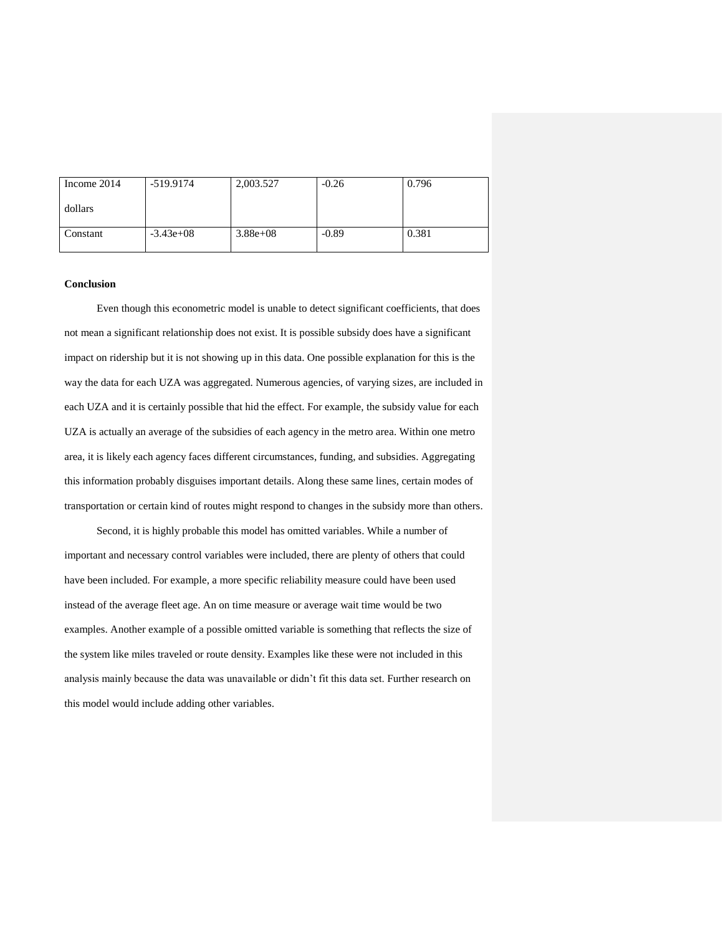| Income 2014 | -519.9174   | 2,003.527    | $-0.26$ | 0.796 |
|-------------|-------------|--------------|---------|-------|
| dollars     |             |              |         |       |
| Constant    | $-3.43e+08$ | $3.88e + 08$ | $-0.89$ | 0.381 |

#### **Conclusion**

Even though this econometric model is unable to detect significant coefficients, that does not mean a significant relationship does not exist. It is possible subsidy does have a significant impact on ridership but it is not showing up in this data. One possible explanation for this is the way the data for each UZA was aggregated. Numerous agencies, of varying sizes, are included in each UZA and it is certainly possible that hid the effect. For example, the subsidy value for each UZA is actually an average of the subsidies of each agency in the metro area. Within one metro area, it is likely each agency faces different circumstances, funding, and subsidies. Aggregating this information probably disguises important details. Along these same lines, certain modes of transportation or certain kind of routes might respond to changes in the subsidy more than others.

Second, it is highly probable this model has omitted variables. While a number of important and necessary control variables were included, there are plenty of others that could have been included. For example, a more specific reliability measure could have been used instead of the average fleet age. An on time measure or average wait time would be two examples. Another example of a possible omitted variable is something that reflects the size of the system like miles traveled or route density. Examples like these were not included in this analysis mainly because the data was unavailable or didn't fit this data set. Further research on this model would include adding other variables.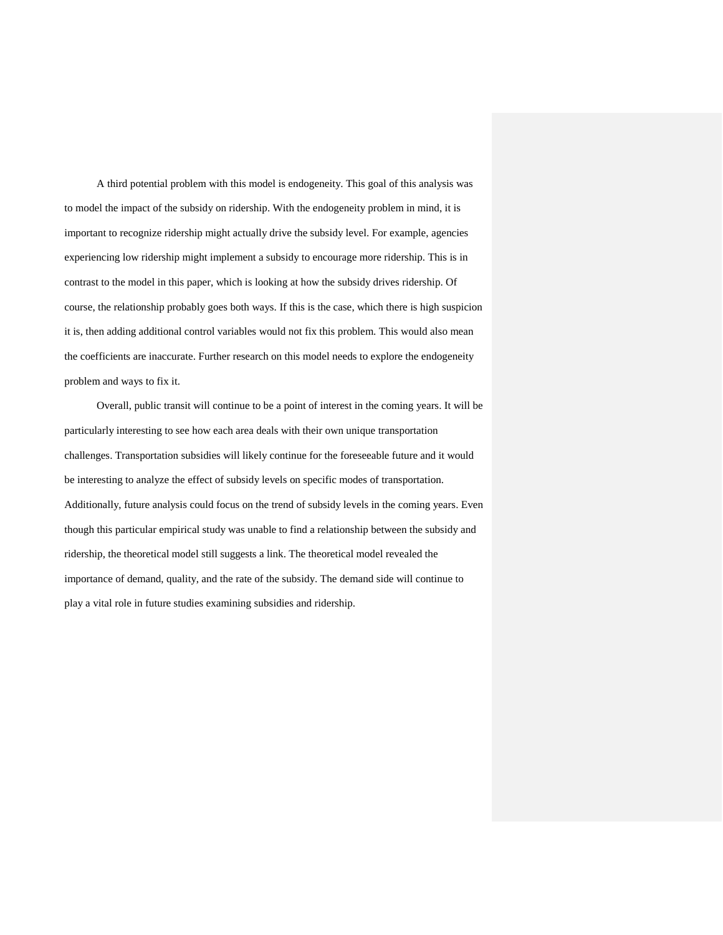A third potential problem with this model is endogeneity. This goal of this analysis was to model the impact of the subsidy on ridership. With the endogeneity problem in mind, it is important to recognize ridership might actually drive the subsidy level. For example, agencies experiencing low ridership might implement a subsidy to encourage more ridership. This is in contrast to the model in this paper, which is looking at how the subsidy drives ridership. Of course, the relationship probably goes both ways. If this is the case, which there is high suspicion it is, then adding additional control variables would not fix this problem. This would also mean the coefficients are inaccurate. Further research on this model needs to explore the endogeneity problem and ways to fix it.

Overall, public transit will continue to be a point of interest in the coming years. It will be particularly interesting to see how each area deals with their own unique transportation challenges. Transportation subsidies will likely continue for the foreseeable future and it would be interesting to analyze the effect of subsidy levels on specific modes of transportation. Additionally, future analysis could focus on the trend of subsidy levels in the coming years. Even though this particular empirical study was unable to find a relationship between the subsidy and ridership, the theoretical model still suggests a link. The theoretical model revealed the importance of demand, quality, and the rate of the subsidy. The demand side will continue to play a vital role in future studies examining subsidies and ridership.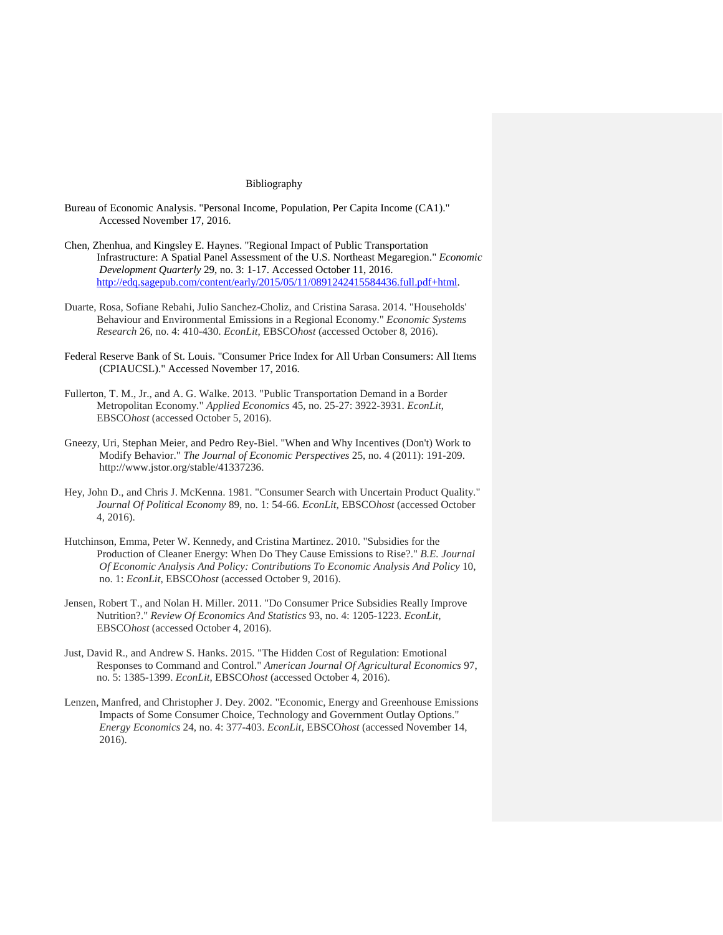#### Bibliography

- Bureau of Economic Analysis. "Personal Income, Population, Per Capita Income (CA1)." Accessed November 17, 2016.
- Chen, Zhenhua, and Kingsley E. Haynes. "Regional Impact of Public Transportation Infrastructure: A Spatial Panel Assessment of the U.S. Northeast Megaregion." *Economic Development Quarterly* 29, no. 3: 1-17. Accessed October 11, 2016. [http://edq.sagepub.com/content/early/2015/05/11/0891242415584436.full.pdf+html.](http://edq.sagepub.com/content/early/2015/05/11/0891242415584436.full.pdf+html)
- Duarte, Rosa, Sofiane Rebahi, Julio Sanchez-Choliz, and Cristina Sarasa. 2014. "Households' Behaviour and Environmental Emissions in a Regional Economy." *Economic Systems Research* 26, no. 4: 410-430. *EconLit*, EBSCO*host* (accessed October 8, 2016).
- Federal Reserve Bank of St. Louis. "Consumer Price Index for All Urban Consumers: All Items (CPIAUCSL)." Accessed November 17, 2016.
- Fullerton, T. M., Jr., and A. G. Walke. 2013. "Public Transportation Demand in a Border Metropolitan Economy." *Applied Economics* 45, no. 25-27: 3922-3931. *EconLit*, EBSCO*host* (accessed October 5, 2016).
- Gneezy, Uri, Stephan Meier, and Pedro Rey-Biel. "When and Why Incentives (Don't) Work to Modify Behavior." *The Journal of Economic Perspectives* 25, no. 4 (2011): 191-209. http://www.jstor.org/stable/41337236.
- Hey, John D., and Chris J. McKenna. 1981. "Consumer Search with Uncertain Product Quality." *Journal Of Political Economy* 89, no. 1: 54-66. *EconLit*, EBSCO*host* (accessed October 4, 2016).
- Hutchinson, Emma, Peter W. Kennedy, and Cristina Martinez. 2010. "Subsidies for the Production of Cleaner Energy: When Do They Cause Emissions to Rise?." *B.E. Journal Of Economic Analysis And Policy: Contributions To Economic Analysis And Policy* 10, no. 1: *EconLit*, EBSCO*host* (accessed October 9, 2016).
- Jensen, Robert T., and Nolan H. Miller. 2011. "Do Consumer Price Subsidies Really Improve Nutrition?." *Review Of Economics And Statistics* 93, no. 4: 1205-1223. *EconLit*, EBSCO*host* (accessed October 4, 2016).
- Just, David R., and Andrew S. Hanks. 2015. "The Hidden Cost of Regulation: Emotional Responses to Command and Control." *American Journal Of Agricultural Economics* 97, no. 5: 1385-1399. *EconLit*, EBSCO*host* (accessed October 4, 2016).
- Lenzen, Manfred, and Christopher J. Dey. 2002. "Economic, Energy and Greenhouse Emissions Impacts of Some Consumer Choice, Technology and Government Outlay Options." *Energy Economics* 24, no. 4: 377-403. *EconLit*, EBSCO*host* (accessed November 14, 2016).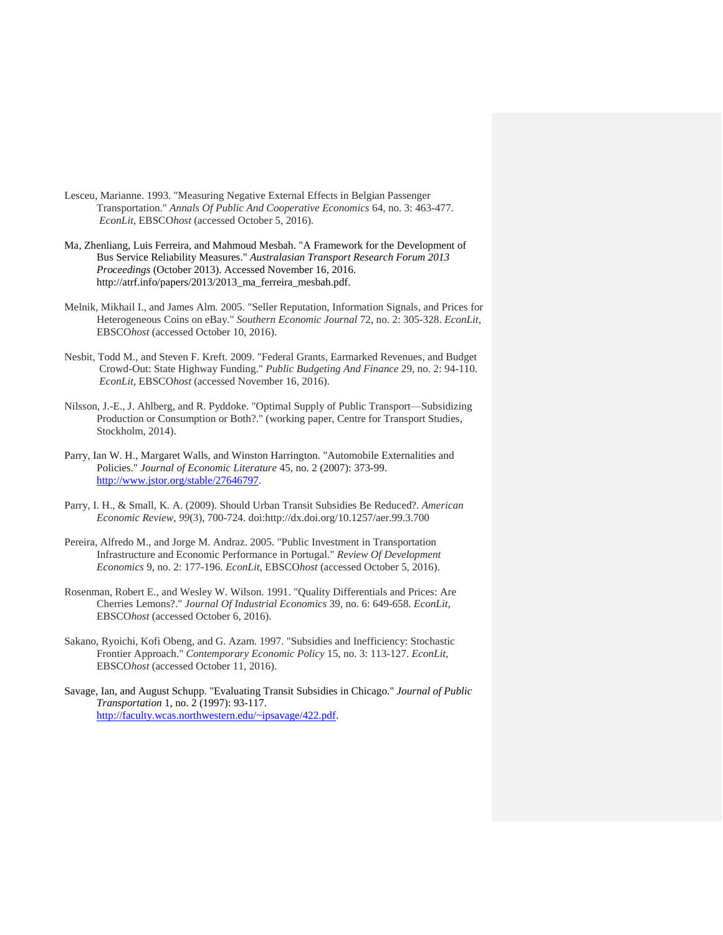- Lesceu, Marianne. 1993. "Measuring Negative External Effects in Belgian Passenger Transportation." *Annals Of Public And Cooperative Economics* 64, no. 3: 463-477. *EconLit*, EBSCO*host* (accessed October 5, 2016).
- Ma, Zhenliang, Luis Ferreira, and Mahmoud Mesbah. "A Framework for the Development of Bus Service Reliability Measures." *Australasian Transport Research Forum 2013 Proceedings* (October 2013). Accessed November 16, 2016. http://atrf.info/papers/2013/2013\_ma\_ferreira\_mesbah.pdf.
- Melnik, Mikhail I., and James Alm. 2005. "Seller Reputation, Information Signals, and Prices for Heterogeneous Coins on eBay." *Southern Economic Journal* 72, no. 2: 305-328. *EconLit*, EBSCO*host* (accessed October 10, 2016).
- Nesbit, Todd M., and Steven F. Kreft. 2009. "Federal Grants, Earmarked Revenues, and Budget Crowd-Out: State Highway Funding." *Public Budgeting And Finance* 29, no. 2: 94-110. *EconLit*, EBSCO*host* (accessed November 16, 2016).
- Nilsson, J.-E., J. Ahlberg, and R. Pyddoke. "Optimal Supply of Public Transport—Subsidizing Production or Consumption or Both?." (working paper, Centre for Transport Studies, Stockholm, 2014).
- Parry, Ian W. H., Margaret Walls, and Winston Harrington. "Automobile Externalities and Policies." *Journal of Economic Literature* 45, no. 2 (2007): 373-99. [http://www.jstor.org/stable/27646797.](http://www.jstor.org/stable/27646797)
- Parry, I. H., & Small, K. A. (2009). Should Urban Transit Subsidies Be Reduced?. *American Economic Review*, *99*(3), 700-724. doi:http://dx.doi.org/10.1257/aer.99.3.700
- Pereira, Alfredo M., and Jorge M. Andraz. 2005. "Public Investment in Transportation Infrastructure and Economic Performance in Portugal." *Review Of Development Economics* 9, no. 2: 177-196. *EconLit*, EBSCO*host* (accessed October 5, 2016).
- Rosenman, Robert E., and Wesley W. Wilson. 1991. "Quality Differentials and Prices: Are Cherries Lemons?." *Journal Of Industrial Economics* 39, no. 6: 649-658. *EconLit*, EBSCO*host* (accessed October 6, 2016).
- Sakano, Ryoichi, Kofi Obeng, and G. Azam. 1997. "Subsidies and Inefficiency: Stochastic Frontier Approach." *Contemporary Economic Policy* 15, no. 3: 113-127. *EconLit*, EBSCO*host* (accessed October 11, 2016).
- Savage, Ian, and August Schupp. "Evaluating Transit Subsidies in Chicago." *Journal of Public Transportation* 1, no. 2 (1997): 93-117. [http://faculty.wcas.northwestern.edu/~ipsavage/422.pdf.](http://faculty.wcas.northwestern.edu/~ipsavage/422.pdf)